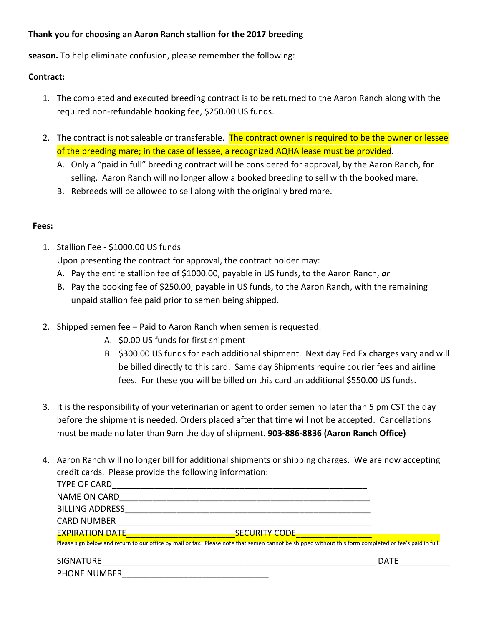## **Thank you for choosing an Aaron Ranch stallion for the 2021 breeding season.**

To help eliminate confusion, please remember the following:

## **Contract:**

- 1. The completed and executed breeding contract is to be returned to the Aaron Ranch along with the required non‐refundable booking fee, \$250.00 US funds.
- 2. The contract is not saleable or transferable. The contract owner is required to be the owner or lessee of the breeding mare; in the case of lessee, a recognized AQHA lease must be provided.
	- A. Only a "paid in full" breeding contract will be considered for approval, by the Aaron Ranch, for selling. Aaron Ranch will no longer allow a booked breeding to sell with the booked mare.
	- B. Rebreeds will be allowed to sell along with the originally bred mare.

## **Fees:**

1. Stallion Fee ‐ \$1750.00 US funds

Upon presenting the contract for approval, the contract holder may:

- A. Pay the entire stallion fee of \$1750.00, payable in US funds, to the Aaron Ranch, *or*
- B. Pay the booking fee of \$250.00, payable in US funds, to the Aaron Ranch, with the remaining unpaid stallion fee paid prior to semen being shipped.
- 2. Shipped semen fee Paid to Aaron Ranch when semen is requested:
	- A. \$650.00 US funds for first shipment
	- B. \$300.00 US funds for each additional shipment. Next day Fed Ex charges vary and will be billed directly to this card. Same day Shipments require courier fees and airline fees. For these you will be billed on this card an additional \$550.00 US funds.
- 3. It is the responsibility of your veterinarian or agent to order semen no later than 5 pm CST the day before the shipment is needed. Orders placed after that time will not be accepted. Cancellations must be made no later than 9am the day of shipment. **903-886-8836 (Aaron Ranch Office)**
- 4. Aaron Ranch will no longer bill for additional shipments or shipping charges. We are now accepting credit cards.
- 5. I hereby authorize Aaron Ranch Inc to charge my credit card the amount listed above plus a 3% Convenience fee. Please provide the following information: TYPE OF CARD NAME ON CARD BILLING ADDRESS THE SERVICE OF STRAIN SERVICE OF STRAINING ADDRESS CARD NUMBER EXPIRATION DATE SECURITY CODE Please sign below and return to our office by mail or fax. Please note that semen cannot be shipped without this form completed or fee's paid in full. SI

GNATURE\_\_\_\_\_\_\_\_\_\_\_\_\_\_\_\_\_\_\_\_\_\_\_\_\_\_\_\_\_\_\_\_\_\_\_\_\_\_\_\_\_\_\_\_\_\_\_\_\_\_\_\_\_\_\_\_\_\_ DATE\_\_\_\_\_\_\_\_\_\_\_ PHONE NUMBER Email